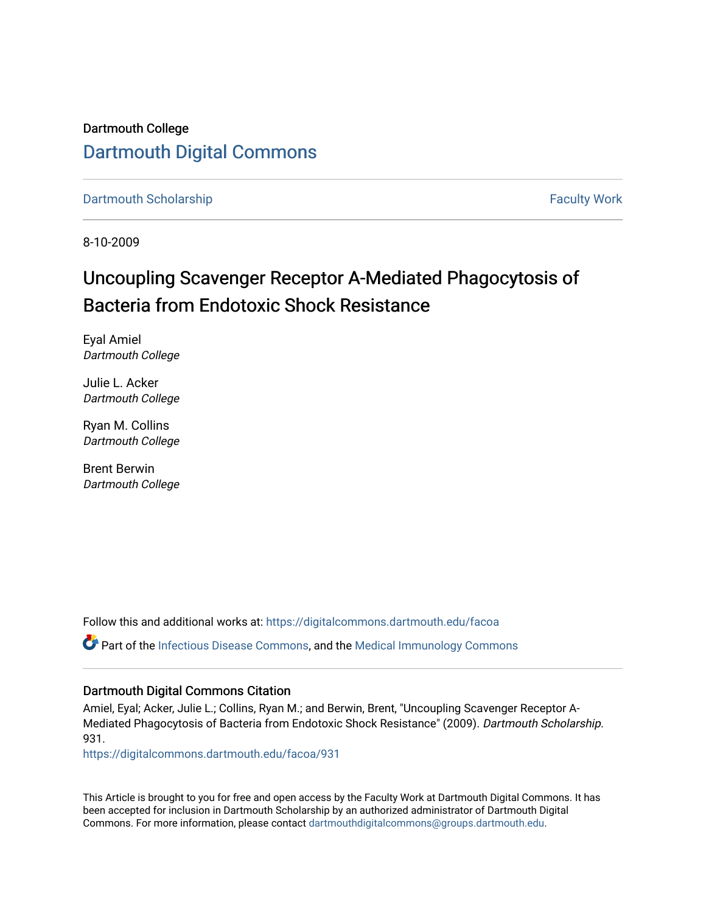## Dartmouth College [Dartmouth Digital Commons](https://digitalcommons.dartmouth.edu/)

[Dartmouth Scholarship](https://digitalcommons.dartmouth.edu/facoa) Faculty Work

8-10-2009

# Uncoupling Scavenger Receptor A-Mediated Phagocytosis of Bacteria from Endotoxic Shock Resistance

Eyal Amiel Dartmouth College

Julie L. Acker Dartmouth College

Ryan M. Collins Dartmouth College

Brent Berwin Dartmouth College

Follow this and additional works at: [https://digitalcommons.dartmouth.edu/facoa](https://digitalcommons.dartmouth.edu/facoa?utm_source=digitalcommons.dartmouth.edu%2Ffacoa%2F931&utm_medium=PDF&utm_campaign=PDFCoverPages) Part of the [Infectious Disease Commons,](http://network.bepress.com/hgg/discipline/689?utm_source=digitalcommons.dartmouth.edu%2Ffacoa%2F931&utm_medium=PDF&utm_campaign=PDFCoverPages) and the [Medical Immunology Commons](http://network.bepress.com/hgg/discipline/671?utm_source=digitalcommons.dartmouth.edu%2Ffacoa%2F931&utm_medium=PDF&utm_campaign=PDFCoverPages) 

### Dartmouth Digital Commons Citation

Amiel, Eyal; Acker, Julie L.; Collins, Ryan M.; and Berwin, Brent, "Uncoupling Scavenger Receptor A-Mediated Phagocytosis of Bacteria from Endotoxic Shock Resistance" (2009). Dartmouth Scholarship. 931.

[https://digitalcommons.dartmouth.edu/facoa/931](https://digitalcommons.dartmouth.edu/facoa/931?utm_source=digitalcommons.dartmouth.edu%2Ffacoa%2F931&utm_medium=PDF&utm_campaign=PDFCoverPages)

This Article is brought to you for free and open access by the Faculty Work at Dartmouth Digital Commons. It has been accepted for inclusion in Dartmouth Scholarship by an authorized administrator of Dartmouth Digital Commons. For more information, please contact [dartmouthdigitalcommons@groups.dartmouth.edu](mailto:dartmouthdigitalcommons@groups.dartmouth.edu).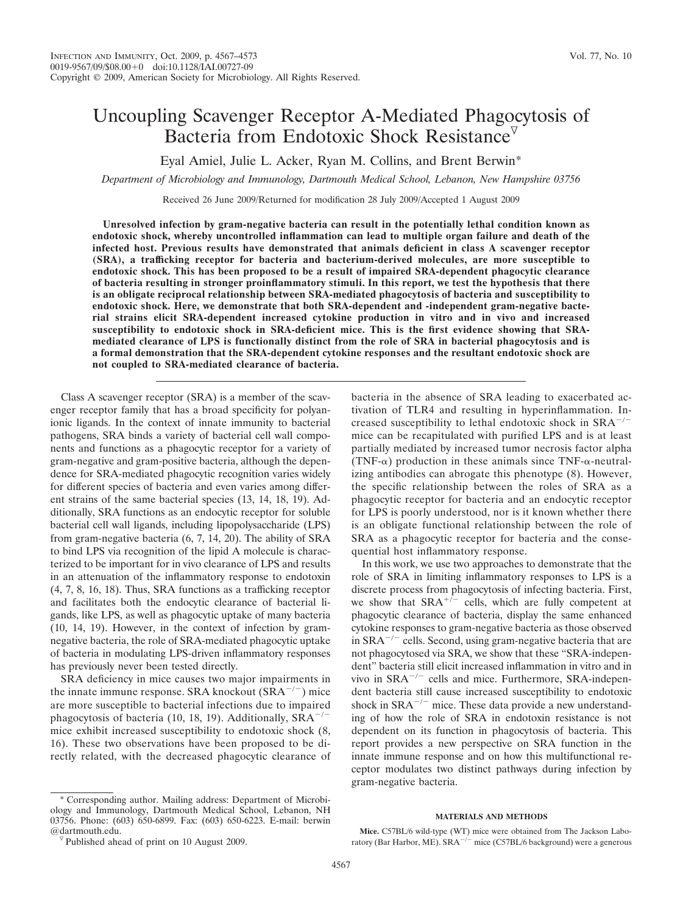# Uncoupling Scavenger Receptor A-Mediated Phagocytosis of Bacteria from Endotoxic Shock Resistance<sup>7</sup>

Eyal Amiel, Julie L. Acker, Ryan M. Collins, and Brent Berwin\*

*Department of Microbiology and Immunology, Dartmouth Medical School, Lebanon, New Hampshire 03756*

Received 26 June 2009/Returned for modification 28 July 2009/Accepted 1 August 2009

**Unresolved infection by gram-negative bacteria can result in the potentially lethal condition known as endotoxic shock, whereby uncontrolled inflammation can lead to multiple organ failure and death of the infected host. Previous results have demonstrated that animals deficient in class A scavenger receptor (SRA), a trafficking receptor for bacteria and bacterium-derived molecules, are more susceptible to endotoxic shock. This has been proposed to be a result of impaired SRA-dependent phagocytic clearance of bacteria resulting in stronger proinflammatory stimuli. In this report, we test the hypothesis that there is an obligate reciprocal relationship between SRA-mediated phagocytosis of bacteria and susceptibility to endotoxic shock. Here, we demonstrate that both SRA-dependent and -independent gram-negative bacterial strains elicit SRA-dependent increased cytokine production in vitro and in vivo and increased susceptibility to endotoxic shock in SRA-deficient mice. This is the first evidence showing that SRAmediated clearance of LPS is functionally distinct from the role of SRA in bacterial phagocytosis and is a formal demonstration that the SRA-dependent cytokine responses and the resultant endotoxic shock are not coupled to SRA-mediated clearance of bacteria.**

Class A scavenger receptor (SRA) is a member of the scavenger receptor family that has a broad specificity for polyanionic ligands. In the context of innate immunity to bacterial pathogens, SRA binds a variety of bacterial cell wall components and functions as a phagocytic receptor for a variety of gram-negative and gram-positive bacteria, although the dependence for SRA-mediated phagocytic recognition varies widely for different species of bacteria and even varies among different strains of the same bacterial species (13, 14, 18, 19). Additionally, SRA functions as an endocytic receptor for soluble bacterial cell wall ligands, including lipopolysaccharide (LPS) from gram-negative bacteria (6, 7, 14, 20). The ability of SRA to bind LPS via recognition of the lipid A molecule is characterized to be important for in vivo clearance of LPS and results in an attenuation of the inflammatory response to endotoxin (4, 7, 8, 16, 18). Thus, SRA functions as a trafficking receptor and facilitates both the endocytic clearance of bacterial ligands, like LPS, as well as phagocytic uptake of many bacteria (10, 14, 19). However, in the context of infection by gramnegative bacteria, the role of SRA-mediated phagocytic uptake of bacteria in modulating LPS-driven inflammatory responses has previously never been tested directly.

SRA deficiency in mice causes two major impairments in the innate immune response. SRA knockout  $(SRA^{-/-})$  mice are more susceptible to bacterial infections due to impaired phagocytosis of bacteria (10, 18, 19). Additionally,  $SRA^{-/-}$ mice exhibit increased susceptibility to endotoxic shock (8, 16). These two observations have been proposed to be directly related, with the decreased phagocytic clearance of

\* Corresponding author. Mailing address: Department of Microbiology and Immunology, Dartmouth Medical School, Lebanon, NH 03756. Phone: (603) 650-6899. Fax: (603) 650-6223. E-mail: berwin bacteria in the absence of SRA leading to exacerbated activation of TLR4 and resulting in hyperinflammation. Increased susceptibility to lethal endotoxic shock in  $SRA^{-/-}$ mice can be recapitulated with purified LPS and is at least partially mediated by increased tumor necrosis factor alpha (TNF- $\alpha$ ) production in these animals since TNF- $\alpha$ -neutralizing antibodies can abrogate this phenotype (8). However, the specific relationship between the roles of SRA as a phagocytic receptor for bacteria and an endocytic receptor for LPS is poorly understood, nor is it known whether there is an obligate functional relationship between the role of SRA as a phagocytic receptor for bacteria and the consequential host inflammatory response.

In this work, we use two approaches to demonstrate that the role of SRA in limiting inflammatory responses to LPS is a discrete process from phagocytosis of infecting bacteria. First, we show that  $SRA^{+/-}$  cells, which are fully competent at phagocytic clearance of bacteria, display the same enhanced cytokine responses to gram-negative bacteria as those observed in  $SRA^{-/-}$  cells. Second, using gram-negative bacteria that are not phagocytosed via SRA, we show that these "SRA-independent" bacteria still elicit increased inflammation in vitro and in vivo in SRA<sup>-/-</sup> cells and mice. Furthermore, SRA-independent bacteria still cause increased susceptibility to endotoxic shock in  $SRA^{-/-}$  mice. These data provide a new understanding of how the role of SRA in endotoxin resistance is not dependent on its function in phagocytosis of bacteria. This report provides a new perspective on SRA function in the innate immune response and on how this multifunctional receptor modulates two distinct pathways during infection by gram-negative bacteria.

#### **MATERIALS AND METHODS**

 $\sqrt[p]{}$  Published ahead of print on 10 August 2009.

**Mice.** C57BL/6 wild-type (WT) mice were obtained from The Jackson Laboratory (Bar Harbor, ME). SRA<sup>-/-</sup> mice (C57BL/6 background) were a generous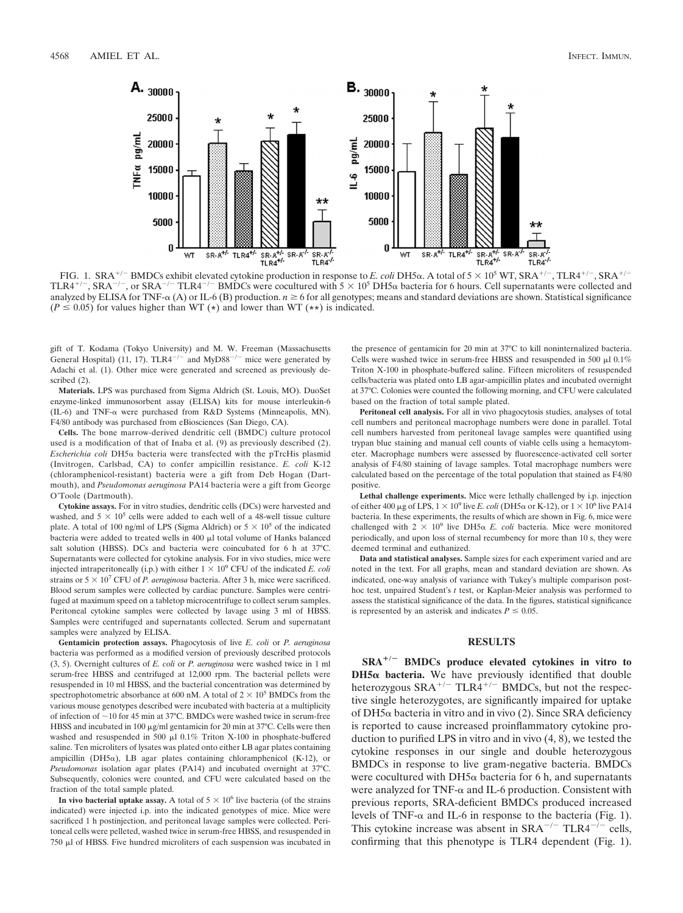

FIG. 1. SRA<sup>+/-</sup> BMDCs exhibit elevated cytokine production in response to *E. coli* DH5 $\alpha$ . A total of  $5 \times 10^5$  WT, SRA<sup>+/-</sup>, TLR4<sup>+/-</sup>, SRA<sup>+/-</sup> TLR4<sup>+/-</sup>, SRA<sup>-/-</sup>, or SRA<sup>-/-</sup> TLR4<sup>-/-</sup> BMDCs were cocultured with  $5 \times 10^5$  DH5 $\alpha$  bacteria for 6 hours. Cell supernatants were collected and analyzed by ELISA for TNF- $\alpha$  (A) or IL-6 (B) production.  $n \ge 6$  for all genotypes; means and standard deviations are shown. Statistical significance  $(P \le 0.05)$  for values higher than WT (\*) and lower than WT (\*\*) is indicated.

gift of T. Kodama (Tokyo University) and M. W. Freeman (Massachusetts General Hospital) (11, 17). TLR4<sup>-/-</sup> and MyD88<sup>-/-</sup> mice were generated by Adachi et al. (1). Other mice were generated and screened as previously described (2).

**Materials.** LPS was purchased from Sigma Aldrich (St. Louis, MO). DuoSet enzyme-linked immunosorbent assay (ELISA) kits for mouse interleukin-6 (IL-6) and TNF- $\alpha$  were purchased from R&D Systems (Minneapolis, MN). F4/80 antibody was purchased from eBiosciences (San Diego, CA).

**Cells.** The bone marrow-derived dendritic cell (BMDC) culture protocol used is a modification of that of Inaba et al. (9) as previously described (2).  $Escherichia coli DH5<sub>\alpha</sub> bacteria were transfected with the pTrcHis plasmid$ (Invitrogen, Carlsbad, CA) to confer ampicillin resistance. *E. coli* K-12 (chloramphenicol-resistant) bacteria were a gift from Deb Hogan (Dartmouth), and *Pseudomonas aeruginosa* PA14 bacteria were a gift from George O'Toole (Dartmouth).

**Cytokine assays.** For in vitro studies, dendritic cells (DCs) were harvested and washed, and  $5 \times 10^5$  cells were added to each well of a 48-well tissue culture plate. A total of 100 ng/ml of LPS (Sigma Aldrich) or  $5 \times 10^5$  of the indicated bacteria were added to treated wells in 400  $\mu$ l total volume of Hanks balanced salt solution (HBSS). DCs and bacteria were coincubated for 6 h at 37°C. Supernatants were collected for cytokine analysis. For in vivo studies, mice were injected intraperitoneally (i.p.) with either  $1 \times 10^9$  CFU of the indicated *E. coli* strains or  $5 \times 10^7$  CFU of *P. aeruginosa* bacteria. After 3 h, mice were sacrificed. Blood serum samples were collected by cardiac puncture. Samples were centrifuged at maximum speed on a tabletop microcentrifuge to collect serum samples. Peritoneal cytokine samples were collected by lavage using 3 ml of HBSS. Samples were centrifuged and supernatants collected. Serum and supernatant samples were analyzed by ELISA.

**Gentamicin protection assays.** Phagocytosis of live *E. coli* or *P. aeruginosa* bacteria was performed as a modified version of previously described protocols (3, 5). Overnight cultures of *E. coli* or *P. aeruginosa* were washed twice in 1 ml serum-free HBSS and centrifuged at 12,000 rpm. The bacterial pellets were resuspended in 10 ml HBSS, and the bacterial concentration was determined by spectrophotometric absorbance at 600 nM. A total of  $2 \times 10^5$  BMDCs from the various mouse genotypes described were incubated with bacteria at a multiplicity of infection of  $\sim$ 10 for 45 min at 37 $^{\circ}$ C. BMDCs were washed twice in serum-free HBSS and incubated in 100  $\mu$ g/ml gentamicin for 20 min at 37°C. Cells were then washed and resuspended in 500  $\mu$ l 0.1% Triton X-100 in phosphate-buffered saline. Ten microliters of lysates was plated onto either LB agar plates containing ampicillin (DH5 $\alpha$ ), LB agar plates containing chloramphenicol (K-12), or *Pseudomonas* isolation agar plates (PA14) and incubated overnight at 37°C. Subsequently, colonies were counted, and CFU were calculated based on the fraction of the total sample plated.

In vivo bacterial uptake assay. A total of  $5 \times 10^6$  live bacteria (of the strains indicated) were injected i.p. into the indicated genotypes of mice. Mice were sacrificed 1 h postinjection, and peritoneal lavage samples were collected. Peritoneal cells were pelleted, washed twice in serum-free HBSS, and resuspended in  $750$   $\mu$ l of HBSS. Five hundred microliters of each suspension was incubated in

the presence of gentamicin for 20 min at 37°C to kill noninternalized bacteria. Cells were washed twice in serum-free HBSS and resuspended in 500  $\mu$ l 0.1% Triton X-100 in phosphate-buffered saline. Fifteen microliters of resuspended cells/bacteria was plated onto LB agar-ampicillin plates and incubated overnight at 37°C. Colonies were counted the following morning, and CFU were calculated based on the fraction of total sample plated.

**Peritoneal cell analysis.** For all in vivo phagocytosis studies, analyses of total cell numbers and peritoneal macrophage numbers were done in parallel. Total cell numbers harvested from peritoneal lavage samples were quantified using trypan blue staining and manual cell counts of viable cells using a hemacytometer. Macrophage numbers were assessed by fluorescence-activated cell sorter analysis of F4/80 staining of lavage samples. Total macrophage numbers were calculated based on the percentage of the total population that stained as F4/80 positive.

**Lethal challenge experiments.** Mice were lethally challenged by i.p. injection of either 400 µg of LPS,  $1 \times 10^9$  live *E. coli* (DH5 $\alpha$  or K-12), or  $1 \times 10^6$  live PA14 bacteria. In these experiments, the results of which are shown in Fig. 6, mice were challenged with  $2 \times 10^9$  live DH5 $\alpha$  *E. coli* bacteria. Mice were monitored periodically, and upon loss of sternal recumbency for more than 10 s, they were deemed terminal and euthanized.

**Data and statistical analyses.** Sample sizes for each experiment varied and are noted in the text. For all graphs, mean and standard deviation are shown. As indicated, one-way analysis of variance with Tukey's multiple comparison posthoc test, unpaired Student's *t* test, or Kaplan-Meier analysis was performed to assess the statistical significance of the data. In the figures, statistical significance is represented by an asterisk and indicates  $P \leq 0.05$ .

#### **RESULTS**

**SRA/**- **BMDCs produce elevated cytokines in vitro to**  $DH5\alpha$  bacteria. We have previously identified that double heterozygous  $SRA^{+/-}$  TLR4<sup>+/-</sup> BMDCs, but not the respective single heterozygotes, are significantly impaired for uptake of DH5 $\alpha$  bacteria in vitro and in vivo (2). Since SRA deficiency is reported to cause increased proinflammatory cytokine production to purified LPS in vitro and in vivo (4, 8), we tested the cytokine responses in our single and double heterozygous BMDCs in response to live gram-negative bacteria. BMDCs were cocultured with DH5 $\alpha$  bacteria for 6 h, and supernatants were analyzed for TNF- $\alpha$  and IL-6 production. Consistent with previous reports, SRA-deficient BMDCs produced increased levels of TNF- $\alpha$  and IL-6 in response to the bacteria (Fig. 1). This cytokine increase was absent in  $SRA^{-/-}$  TLR4<sup>- $/-$ </sup> cells, confirming that this phenotype is TLR4 dependent (Fig. 1).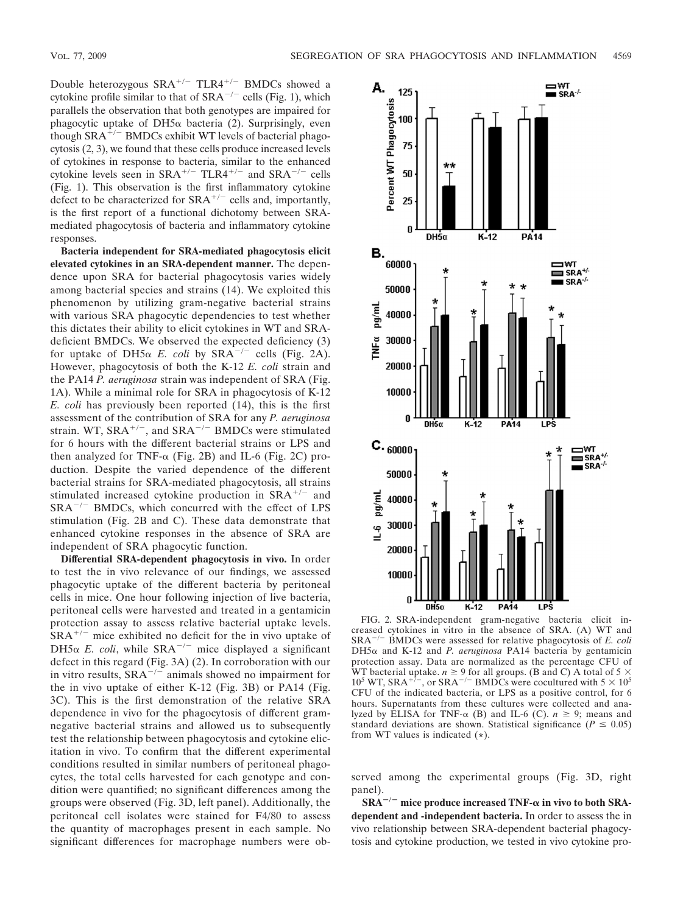Double heterozygous  $SRA^{+/-}$  TLR4<sup>+/-</sup> BMDCs showed a cytokine profile similar to that of  $SRA^{-/-}$  cells (Fig. 1), which parallels the observation that both genotypes are impaired for phagocytic uptake of DH5 $\alpha$  bacteria (2). Surprisingly, even though  $SRA^{\frac{1}{r}-}$  BMDCs exhibit WT levels of bacterial phagocytosis (2, 3), we found that these cells produce increased levels of cytokines in response to bacteria, similar to the enhanced cytokine levels seen in  $SRA^{+/-}$  TLR4<sup>+/-</sup> and  $SRA^{-/-}$  cells (Fig. 1). This observation is the first inflammatory cytokine defect to be characterized for  $SRA^{+/-}$  cells and, importantly, is the first report of a functional dichotomy between SRAmediated phagocytosis of bacteria and inflammatory cytokine responses.

**Bacteria independent for SRA-mediated phagocytosis elicit elevated cytokines in an SRA-dependent manner.** The dependence upon SRA for bacterial phagocytosis varies widely among bacterial species and strains (14). We exploited this phenomenon by utilizing gram-negative bacterial strains with various SRA phagocytic dependencies to test whether this dictates their ability to elicit cytokines in WT and SRAdeficient BMDCs. We observed the expected deficiency (3) for uptake of DH5 $\alpha$  E. coli by SRA<sup>-/-</sup> cells (Fig. 2A). However, phagocytosis of both the K-12 *E. coli* strain and the PA14 *P. aeruginosa* strain was independent of SRA (Fig. 1A). While a minimal role for SRA in phagocytosis of K-12 *E. coli* has previously been reported (14), this is the first assessment of the contribution of SRA for any *P. aeruginosa* strain. WT,  $SRA^{+/-}$ , and  $SRA^{-/-}$  BMDCs were stimulated for 6 hours with the different bacterial strains or LPS and then analyzed for TNF- $\alpha$  (Fig. 2B) and IL-6 (Fig. 2C) production. Despite the varied dependence of the different bacterial strains for SRA-mediated phagocytosis, all strains stimulated increased cytokine production in  $SRA^{+/-}$  and  $SRA^{-/-}$  BMDCs, which concurred with the effect of LPS stimulation (Fig. 2B and C). These data demonstrate that enhanced cytokine responses in the absence of SRA are independent of SRA phagocytic function.

**Differential SRA-dependent phagocytosis in vivo.** In order to test the in vivo relevance of our findings, we assessed phagocytic uptake of the different bacteria by peritoneal cells in mice. One hour following injection of live bacteria, peritoneal cells were harvested and treated in a gentamicin protection assay to assess relative bacterial uptake levels.  $SRA^{+/-}$  mice exhibited no deficit for the in vivo uptake of DH5 $\alpha$  *E. coli*, while SRA<sup>-/-</sup> mice displayed a significant defect in this regard (Fig. 3A) (2). In corroboration with our in vitro results,  $\overline{SRA}^{-/-}$  animals showed no impairment for the in vivo uptake of either K-12 (Fig. 3B) or PA14 (Fig. 3C). This is the first demonstration of the relative SRA dependence in vivo for the phagocytosis of different gramnegative bacterial strains and allowed us to subsequently test the relationship between phagocytosis and cytokine elicitation in vivo. To confirm that the different experimental conditions resulted in similar numbers of peritoneal phagocytes, the total cells harvested for each genotype and condition were quantified; no significant differences among the groups were observed (Fig. 3D, left panel). Additionally, the peritoneal cell isolates were stained for F4/80 to assess the quantity of macrophages present in each sample. No significant differences for macrophage numbers were ob-



FIG. 2. SRA-independent gram-negative bacteria elicit increased cytokines in vitro in the absence of SRA. (A) WT and SRA-/- BMDCs were assessed for relative phagocytosis of *E. coli*  $DH5\alpha$  and K-12 and *P. aeruginosa* PA14 bacteria by gentamicin protection assay. Data are normalized as the percentage CFU of WT bacterial uptake.  $n \geq 9$  for all groups. (B and C) A total of 5  $\times$  $10^5$  WT, SRA<sup>+7-</sup>, or SRA<sup>-7-</sup> BMDCs were cocultured with  $5 \times 10^5$ CFU of the indicated bacteria, or LPS as a positive control, for 6 hours. Supernatants from these cultures were collected and analyzed by ELISA for TNF- $\alpha$  (B) and IL-6 (C).  $n \geq 9$ ; means and standard deviations are shown. Statistical significance ( $P \leq 0.05$ ) from WT values is indicated (**\***).

served among the experimental groups (Fig. 3D, right panel).

**SRA**-**/**- **mice produce increased TNF- in vivo to both SRAdependent and -independent bacteria.** In order to assess the in vivo relationship between SRA-dependent bacterial phagocytosis and cytokine production, we tested in vivo cytokine pro-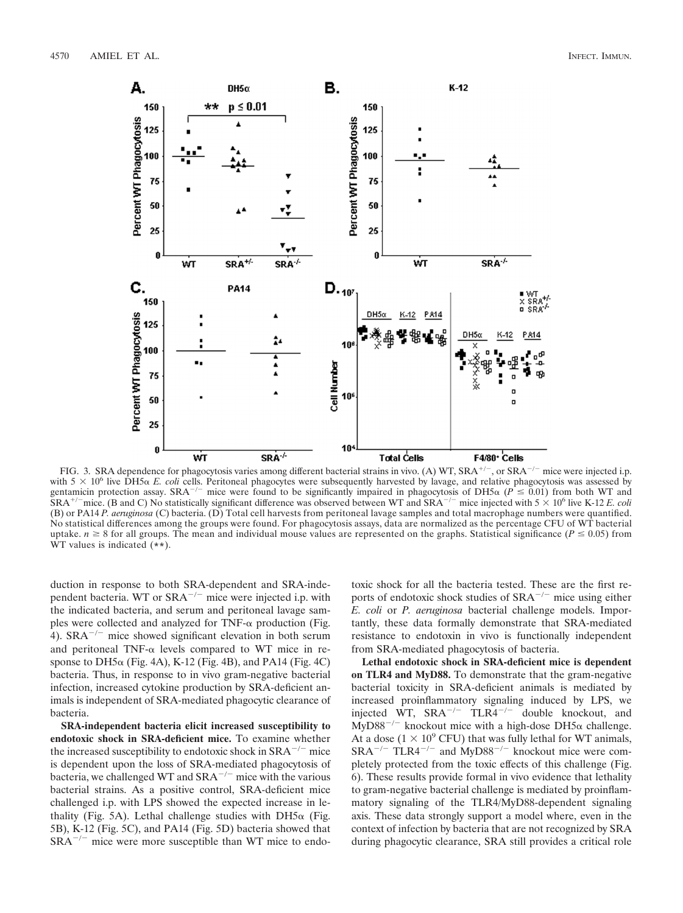

FIG. 3. SRA dependence for phagocytosis varies among different bacterial strains in vivo. (A) WT, SRA<sup>+/-</sup>, or SRA<sup>-/-</sup> mice were injected i.p. with  $5 \times 10^6$  live DH5 $\alpha$  *E. coli* cells. Peritoneal phagocytes were subsequently harvested by lavage, and relative phagocytosis was assessed by gentamicin protection assay. SRA<sup>-/-</sup> mice were found to be significantly impaired in phagocytosis of DH5 $\alpha$  ( $\vec{P} \le 0.01$ ) from both WT and  $\overline{SRA}^{+/-}$  mice. (B and C) No statistically significant difference was observed between WT and  $\overline{SRA}^{-/-}$  mice injected with  $5 \times 10^6$  live K-12 *E. coli* (B) or PA14 *P. aeruginosa* (C) bacteria. (D) Total cell harvests from peritoneal lavage samples and total macrophage numbers were quantified. No statistical differences among the groups were found. For phagocytosis assays, data are normalized as the percentage CFU of WT bacterial uptake.  $n \geq 8$  for all groups. The mean and individual mouse values are represented on the graphs. Statistical significance ( $P \leq 0.05$ ) from WT values is indicated (**\*\***).

duction in response to both SRA-dependent and SRA-independent bacteria. WT or SRA<sup>-/-</sup> mice were injected i.p. with the indicated bacteria, and serum and peritoneal lavage samples were collected and analyzed for TNF- $\alpha$  production (Fig. 4).  $SRA^{-/-}$  mice showed significant elevation in both serum and peritoneal TNF- $\alpha$  levels compared to WT mice in response to DH5 $\alpha$  (Fig. 4A), K-12 (Fig. 4B), and PA14 (Fig. 4C) bacteria. Thus, in response to in vivo gram-negative bacterial infection, increased cytokine production by SRA-deficient animals is independent of SRA-mediated phagocytic clearance of bacteria.

**SRA-independent bacteria elicit increased susceptibility to endotoxic shock in SRA-deficient mice.** To examine whether the increased susceptibility to endotoxic shock in  $SRA^{-/-}$  mice is dependent upon the loss of SRA-mediated phagocytosis of bacteria, we challenged WT and  $SRA^{-/-}$  mice with the various bacterial strains. As a positive control, SRA-deficient mice challenged i.p. with LPS showed the expected increase in lethality (Fig. 5A). Lethal challenge studies with  $DH5\alpha$  (Fig. 5B), K-12 (Fig. 5C), and PA14 (Fig. 5D) bacteria showed that  $SRA^{-/-}$  mice were more susceptible than WT mice to endotoxic shock for all the bacteria tested. These are the first reports of endotoxic shock studies of  $SRA^{-/-}$  mice using either *E. coli* or *P. aeruginosa* bacterial challenge models. Importantly, these data formally demonstrate that SRA-mediated resistance to endotoxin in vivo is functionally independent from SRA-mediated phagocytosis of bacteria.

**Lethal endotoxic shock in SRA-deficient mice is dependent on TLR4 and MyD88.** To demonstrate that the gram-negative bacterial toxicity in SRA-deficient animals is mediated by increased proinflammatory signaling induced by LPS, we injected WT,  $SRA^{-/-}$  TLR4<sup>-/-</sup> double knockout, and  $\text{MyD88}^{-/-}$  knockout mice with a high-dose DH5 $\alpha$  challenge. At a dose ( $1 \times 10^9$  CFU) that was fully lethal for WT animals,  $SRA^{-/-}$  TLR4<sup>-/-</sup> and MyD88<sup>-/-</sup> knockout mice were completely protected from the toxic effects of this challenge (Fig. 6). These results provide formal in vivo evidence that lethality to gram-negative bacterial challenge is mediated by proinflammatory signaling of the TLR4/MyD88-dependent signaling axis. These data strongly support a model where, even in the context of infection by bacteria that are not recognized by SRA during phagocytic clearance, SRA still provides a critical role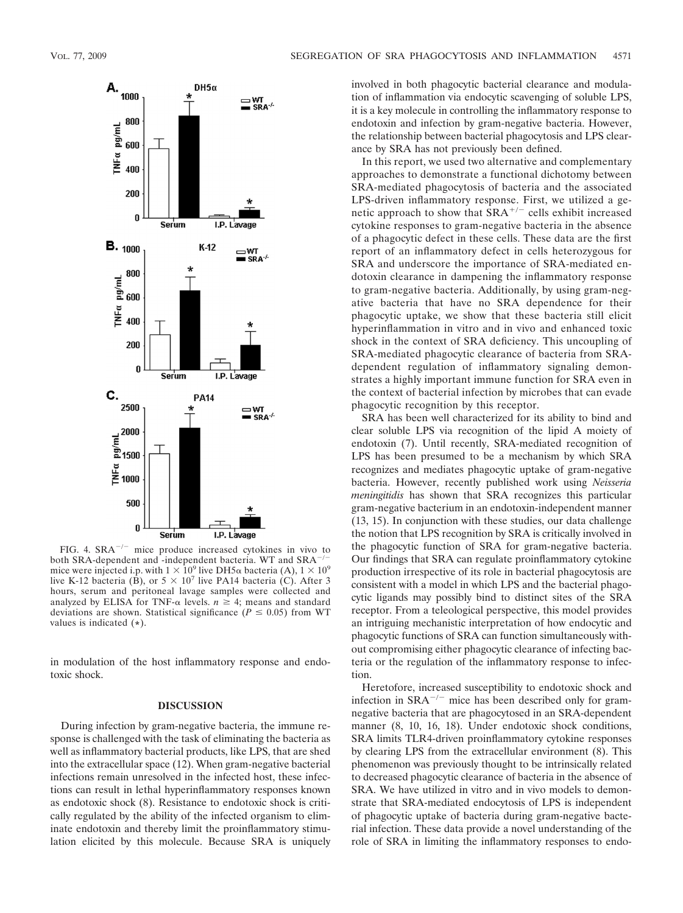

FIG. 4.  $SRA^{-/-}$  mice produce increased cytokines in vivo to the SBA-dependent and independent bacteria. WT and SBA<sup>-/-</sup> both SRA-dependent and -independent bacteria. WT and SRAmice were injected i.p. with  $1 \times 10^9$  live DH5 $\alpha$  bacteria (A),  $1 \times 10^9$ live K-12 bacteria (B), or  $5 \times 10^7$  live PA14 bacteria (C). After 3 hours, serum and peritoneal lavage samples were collected and analyzed by ELISA for TNF- $\alpha$  levels.  $n \geq 4$ ; means and standard deviations are shown. Statistical significance ( $P \leq 0.05$ ) from WT values is indicated (**\***).

in modulation of the host inflammatory response and endotoxic shock.

#### **DISCUSSION**

During infection by gram-negative bacteria, the immune response is challenged with the task of eliminating the bacteria as well as inflammatory bacterial products, like LPS, that are shed into the extracellular space (12). When gram-negative bacterial infections remain unresolved in the infected host, these infections can result in lethal hyperinflammatory responses known as endotoxic shock (8). Resistance to endotoxic shock is critically regulated by the ability of the infected organism to eliminate endotoxin and thereby limit the proinflammatory stimulation elicited by this molecule. Because SRA is uniquely involved in both phagocytic bacterial clearance and modulation of inflammation via endocytic scavenging of soluble LPS, it is a key molecule in controlling the inflammatory response to endotoxin and infection by gram-negative bacteria. However, the relationship between bacterial phagocytosis and LPS clearance by SRA has not previously been defined.

In this report, we used two alternative and complementary approaches to demonstrate a functional dichotomy between SRA-mediated phagocytosis of bacteria and the associated LPS-driven inflammatory response. First, we utilized a genetic approach to show that  $\overline{SRA}^{+/-}$  cells exhibit increased cytokine responses to gram-negative bacteria in the absence of a phagocytic defect in these cells. These data are the first report of an inflammatory defect in cells heterozygous for SRA and underscore the importance of SRA-mediated endotoxin clearance in dampening the inflammatory response to gram-negative bacteria. Additionally, by using gram-negative bacteria that have no SRA dependence for their phagocytic uptake, we show that these bacteria still elicit hyperinflammation in vitro and in vivo and enhanced toxic shock in the context of SRA deficiency. This uncoupling of SRA-mediated phagocytic clearance of bacteria from SRAdependent regulation of inflammatory signaling demonstrates a highly important immune function for SRA even in the context of bacterial infection by microbes that can evade phagocytic recognition by this receptor.

SRA has been well characterized for its ability to bind and clear soluble LPS via recognition of the lipid A moiety of endotoxin (7). Until recently, SRA-mediated recognition of LPS has been presumed to be a mechanism by which SRA recognizes and mediates phagocytic uptake of gram-negative bacteria. However, recently published work using *Neisseria meningitidis* has shown that SRA recognizes this particular gram-negative bacterium in an endotoxin-independent manner (13, 15). In conjunction with these studies, our data challenge the notion that LPS recognition by SRA is critically involved in the phagocytic function of SRA for gram-negative bacteria. Our findings that SRA can regulate proinflammatory cytokine production irrespective of its role in bacterial phagocytosis are consistent with a model in which LPS and the bacterial phagocytic ligands may possibly bind to distinct sites of the SRA receptor. From a teleological perspective, this model provides an intriguing mechanistic interpretation of how endocytic and phagocytic functions of SRA can function simultaneously without compromising either phagocytic clearance of infecting bacteria or the regulation of the inflammatory response to infection.

Heretofore, increased susceptibility to endotoxic shock and infection in  $SRA^{-/-}$  mice has been described only for gramnegative bacteria that are phagocytosed in an SRA-dependent manner (8, 10, 16, 18). Under endotoxic shock conditions, SRA limits TLR4-driven proinflammatory cytokine responses by clearing LPS from the extracellular environment (8). This phenomenon was previously thought to be intrinsically related to decreased phagocytic clearance of bacteria in the absence of SRA. We have utilized in vitro and in vivo models to demonstrate that SRA-mediated endocytosis of LPS is independent of phagocytic uptake of bacteria during gram-negative bacterial infection. These data provide a novel understanding of the role of SRA in limiting the inflammatory responses to endo-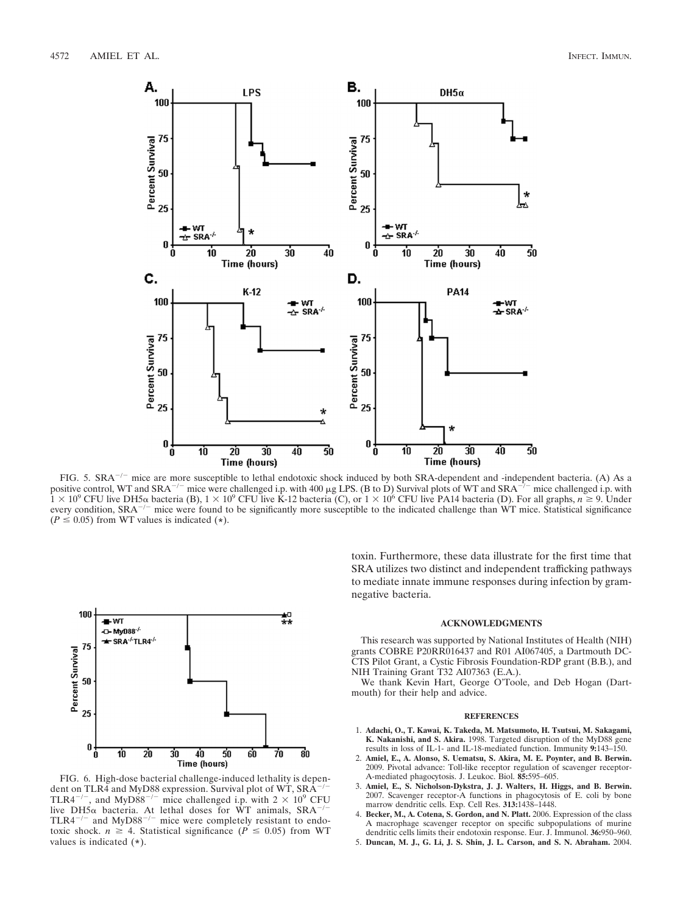

FIG. 5.  $SRA^{-/-}$  mice are more susceptible to lethal endotoxic shock induced by both SRA-dependent and -independent bacteria. (A) As a positive control, WT and SRA<sup>-/-</sup> mice were challenged i.p. with 400  $\mu$ g LPS. (B to D) Survival plots of WT and SRA<sup>-/-</sup> mice challenged i.p. with  $1 \times 10^9$  CFU live DH5 $\alpha$  bacteria (B),  $1 \times 10^9$  CFU live K-12 bacteria (C), or  $1 \times 10^6$  CFU live PA14 bacteria (D). For all graphs,  $n \ge 9$ . Under every condition,  $SRA^{-/-}$  mice were found to be significantly more susceptible to the indicated challenge than WT mice. Statistical significance  $(P \le 0.05)$  from WT values is indicated (\*).



FIG. 6. High-dose bacterial challenge-induced lethality is dependent on TLR4 and MyD88 expression. Survival plot of WT, SRA<sup>-/-</sup><br>TLR4<sup>-/-</sup>, and MyD88<sup>-/-</sup> mice challenged i.p. with 2 × 10<sup>9</sup> CFU live DH5 $\alpha$  bacteria. At lethal doses for WT animals, SRA<sup>-/-</sup><br>TLR4<sup>-/-</sup> and MyD88<sup>-/-</sup> mice were completely resistant to endotoxic shock.  $n \geq 4$ . Statistical significance ( $P \leq 0.05$ ) from WT values is indicated (**\***).

toxin. Furthermore, these data illustrate for the first time that SRA utilizes two distinct and independent trafficking pathways to mediate innate immune responses during infection by gramnegative bacteria.

#### **ACKNOWLEDGMENTS**

This research was supported by National Institutes of Health (NIH) grants COBRE P20RR016437 and R01 AI067405, a Dartmouth DC-CTS Pilot Grant, a Cystic Fibrosis Foundation-RDP grant (B.B.), and NIH Training Grant T32 AI07363 (E.A.).

We thank Kevin Hart, George O'Toole, and Deb Hogan (Dartmouth) for their help and advice.

#### **REFERENCES**

- 1. **Adachi, O., T. Kawai, K. Takeda, M. Matsumoto, H. Tsutsui, M. Sakagami, K. Nakanishi, and S. Akira.** 1998. Targeted disruption of the MyD88 gene results in loss of IL-1- and IL-18-mediated function. Immunity **9:**143–150.
- 2. **Amiel, E., A. Alonso, S. Uematsu, S. Akira, M. E. Poynter, and B. Berwin.** 2009. Pivotal advance: Toll-like receptor regulation of scavenger receptor-A-mediated phagocytosis. J. Leukoc. Biol. **85:**595–605.
- 3. **Amiel, E., S. Nicholson-Dykstra, J. J. Walters, H. Higgs, and B. Berwin.** 2007. Scavenger receptor-A functions in phagocytosis of E. coli by bone marrow dendritic cells. Exp. Cell Res. **313:**1438–1448.
- 4. **Becker, M., A. Cotena, S. Gordon, and N. Platt.** 2006. Expression of the class A macrophage scavenger receptor on specific subpopulations of murine dendritic cells limits their endotoxin response. Eur. J. Immunol. **36:**950–960.
- 5. **Duncan, M. J., G. Li, J. S. Shin, J. L. Carson, and S. N. Abraham.** 2004.